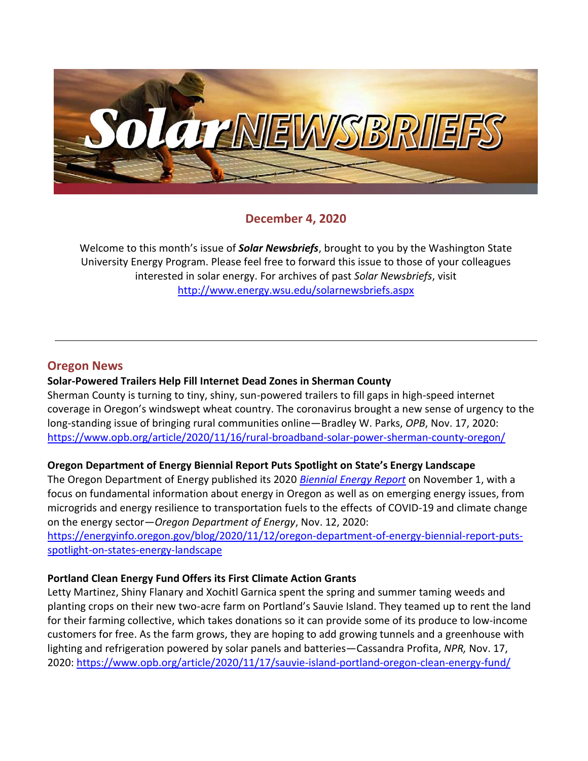

## **December 4, 2020**

Welcome to this month's issue of *Solar Newsbriefs*, brought to you by the Washington State University Energy Program. Please feel free to forward this issue to those of your colleagues interested in solar energy. For archives of past *Solar Newsbriefs*, visit <http://www.energy.wsu.edu/solarnewsbriefs.aspx>

## **Oregon News**

#### **Solar-Powered Trailers Help Fill Internet Dead Zones in Sherman County**

Sherman County is turning to tiny, shiny, sun-powered trailers to fill gaps in high-speed internet coverage in Oregon's windswept wheat country. The coronavirus brought a new sense of urgency to the long-standing issue of bringing rural communities online—Bradley W. Parks, *OPB*, Nov. 17, 2020: <https://www.opb.org/article/2020/11/16/rural-broadband-solar-power-sherman-county-oregon/>

## **Oregon Department of Energy Biennial Report Puts Spotlight on State's Energy Landscape**

The Oregon Department of Energy published its 2020 *[Biennial Energy Report](https://energyinfo.oregon.gov/ber)* on November 1, with a focus on fundamental information about energy in Oregon as well as on emerging energy issues, from microgrids and energy resilience to transportation fuels to the effects of COVID-19 and climate change on the energy sector—*Oregon Department of Energy*, Nov. 12, 2020:

[https://energyinfo.oregon.gov/blog/2020/11/12/oregon-department-of-energy-biennial-report-puts](https://energyinfo.oregon.gov/blog/2020/11/12/oregon-department-of-energy-biennial-report-puts-spotlight-on-states-energy-landscape)[spotlight-on-states-energy-landscape](https://energyinfo.oregon.gov/blog/2020/11/12/oregon-department-of-energy-biennial-report-puts-spotlight-on-states-energy-landscape)

## **Portland Clean Energy Fund Offers its First Climate Action Grants**

Letty Martinez, Shiny Flanary and Xochitl Garnica spent the spring and summer taming weeds and planting crops on their new two-acre farm on Portland's Sauvie Island. They teamed up to rent the land for [their farming collective,](https://racemefarmers.org/) which takes donations so it can provide some of its produce to low-income customers for free. As the farm grows, they are hoping to add growing tunnels and a greenhouse with lighting and refrigeration powered by solar panels and batteries—Cassandra Profita, *NPR,* Nov. 17, 2020:<https://www.opb.org/article/2020/11/17/sauvie-island-portland-oregon-clean-energy-fund/>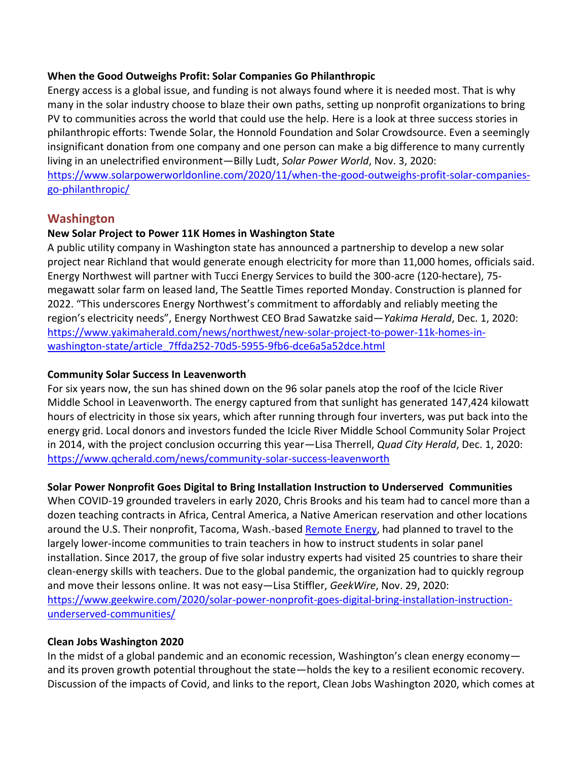#### **When the Good Outweighs Profit: Solar Companies Go Philanthropic**

Energy access is a global issue, and funding is not always found where it is needed most. That is why many in the solar industry choose to blaze their own paths, setting up nonprofit organizations to bring PV to communities across the world that could use the help. Here is a look at three success stories in philanthropic efforts: Twende Solar, the Honnold Foundation and Solar Crowdsource. Even a seemingly insignificant donation from one company and one person can make a big difference to many currently living in an unelectrified environment—Billy Ludt, *Solar Power World*, Nov. 3, 2020: [https://www.solarpowerworldonline.com/2020/11/when-the-good-outweighs-profit-solar-companies](https://www.solarpowerworldonline.com/2020/11/when-the-good-outweighs-profit-solar-companies-go-philanthropic/)[go-philanthropic/](https://www.solarpowerworldonline.com/2020/11/when-the-good-outweighs-profit-solar-companies-go-philanthropic/)

## **Washington**

#### **New Solar Project to Power 11K Homes in Washington State**

A public utility company in Washington state has announced a partnership to develop a new solar project near Richland that would generate enough electricity for more than 11,000 homes, officials said. Energy Northwest will partner with Tucci Energy Services to build the 300-acre (120-hectare), 75 megawatt solar farm on leased land, The Seattle Times [reported](https://www.seattletimes.com/seattle-news/new-solar-project-planned-for-300-acres-near-richland/) Monday. Construction is planned for 2022. "This underscores Energy Northwest's commitment to affordably and reliably meeting the region's electricity needs", Energy Northwest CEO Brad Sawatzke said—*Yakima Herald*, Dec. 1, 2020: [https://www.yakimaherald.com/news/northwest/new-solar-project-to-power-11k-homes-in](https://www.yakimaherald.com/news/northwest/new-solar-project-to-power-11k-homes-in-washington-state/article_7ffda252-70d5-5955-9fb6-dce6a5a52dce.html)[washington-state/article\\_7ffda252-70d5-5955-9fb6-dce6a5a52dce.html](https://www.yakimaherald.com/news/northwest/new-solar-project-to-power-11k-homes-in-washington-state/article_7ffda252-70d5-5955-9fb6-dce6a5a52dce.html)

#### **Community Solar Success In Leavenworth**

For six years now, the sun has shined down on the 96 solar panels atop the roof of the Icicle River Middle School in Leavenworth. The energy captured from that sunlight has generated 147,424 kilowatt hours of electricity in those six years, which after running through four inverters, was put back into the energy grid. Local donors and investors funded the Icicle River Middle School Community Solar Project in 2014, with the project conclusion occurring this year—Lisa Therrell, *Quad City Herald*, Dec. 1, 2020: <https://www.qcherald.com/news/community-solar-success-leavenworth>

## **Solar Power Nonprofit Goes Digital to Bring Installation Instruction to Underserved Communities**

When COVID-19 grounded travelers in early 2020, Chris Brooks and his team had to cancel more than a dozen teaching contracts in Africa, Central America, a Native American reservation and other locations around the U.S. Their nonprofit, Tacoma, Wash.-based [Remote Energy,](https://remoteenergy.org/) had planned to travel to the largely lower-income communities to train teachers in how to instruct students in solar panel installation. Since 2017, the group of five solar industry experts had visited 25 countries to share their clean-energy skills with teachers. Due to the global pandemic, the organization had to quickly regroup and move their lessons online. It was not easy—Lisa Stiffler, *GeekWire*, Nov. 29, 2020: [https://www.geekwire.com/2020/solar-power-nonprofit-goes-digital-bring-installation-instruction](https://www.geekwire.com/2020/solar-power-nonprofit-goes-digital-bring-installation-instruction-underserved-communities/)[underserved-communities/](https://www.geekwire.com/2020/solar-power-nonprofit-goes-digital-bring-installation-instruction-underserved-communities/)

#### **Clean Jobs Washington 2020**

In the midst of a global pandemic and an economic recession, Washington's clean energy economy and its proven growth potential throughout the state—holds the key to a resilient economic recovery. Discussion of the impacts of Covid, and links to the report, Clean Jobs Washington 2020, which comes at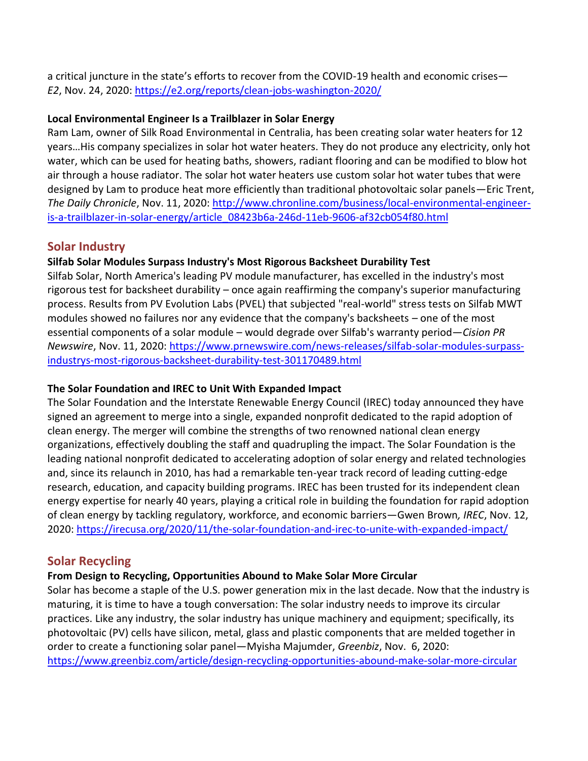a critical juncture in the state's efforts to recover from the COVID-19 health and economic crises— *E2*, Nov. 24, 2020:<https://e2.org/reports/clean-jobs-washington-2020/>

## **Local Environmental Engineer Is a Trailblazer in Solar Energy**

Ram Lam, owner of Silk Road Environmental in Centralia, has been creating solar water heaters for 12 years…His company specializes in solar hot water heaters. They do not produce any electricity, only hot water, which can be used for heating baths, showers, radiant flooring and can be modified to blow hot air through a house radiator. The solar hot water heaters use custom solar hot water tubes that were designed by Lam to produce heat more efficiently than traditional photovoltaic solar panels—Eric Trent, *The Daily Chronicle*, Nov. 11, 2020: [http://www.chronline.com/business/local-environmental-engineer](http://www.chronline.com/business/local-environmental-engineer-is-a-trailblazer-in-solar-energy/article_08423b6a-246d-11eb-9606-af32cb054f80.html)[is-a-trailblazer-in-solar-energy/article\\_08423b6a-246d-11eb-9606-af32cb054f80.html](http://www.chronline.com/business/local-environmental-engineer-is-a-trailblazer-in-solar-energy/article_08423b6a-246d-11eb-9606-af32cb054f80.html)

# **Solar Industry**

## **Silfab Solar Modules Surpass Industry's Most Rigorous Backsheet Durability Test**

Silfab Solar, North America's leading PV module manufacturer, has excelled in the industry's most rigorous test for backsheet durability – once again reaffirming the company's superior manufacturing process. Results from PV Evolution Labs (PVEL) that subjected "real-world" stress tests on [Silfab](https://c212.net/c/link/?t=0&l=en&o=2977895-1&h=1610571563&u=https%3A%2F%2Fsilfabsolar.com%2F&a=Silfab) MWT modules showed no failures nor any evidence that the company's backsheets – one of the most essential components of a solar module – would degrade over Silfab's warranty period—*Cision PR Newswire*, Nov. 11, 2020: [https://www.prnewswire.com/news-releases/silfab-solar-modules-surpass](https://www.prnewswire.com/news-releases/silfab-solar-modules-surpass-industrys-most-rigorous-backsheet-durability-test-301170489.html)[industrys-most-rigorous-backsheet-durability-test-301170489.html](https://www.prnewswire.com/news-releases/silfab-solar-modules-surpass-industrys-most-rigorous-backsheet-durability-test-301170489.html)

## **The Solar Foundation and IREC to Unit With Expanded Impact**

The Solar Foundation and the Interstate Renewable Energy Council (IREC) today announced they have signed an agreement to merge into a single, expanded nonprofit dedicated to the rapid adoption of clean energy. The merger will combine the strengths of two renowned national clean energy organizations, effectively doubling the staff and quadrupling the impact. The Solar Foundation is the leading national nonprofit dedicated to accelerating adoption of solar energy and related technologies and, since its relaunch in 2010, has had a remarkable ten-year track record of leading cutting-edge research, education, and capacity building programs. IREC has been trusted for its independent clean energy expertise for nearly 40 years, playing a critical role in building the foundation for rapid adoption of clean energy by tackling regulatory, workforce, and economic barriers—Gwen Brown*, IREC*, Nov. 12, 2020:<https://irecusa.org/2020/11/the-solar-foundation-and-irec-to-unite-with-expanded-impact/>

# **Solar Recycling**

## **From Design to Recycling, Opportunities Abound to Make Solar More Circular**

Solar has become a staple of the U.S. power generation mix in the last decade. Now that the industry is maturing, it is time to have a tough conversation: The solar industry needs to improve its circular practices. Like any industry, the solar industry has unique machinery and equipment; specifically, its photovoltaic (PV) cells have silicon, metal, glass and plastic components that are melded together in order to create a functioning solar panel—Myisha Majumder, *Greenbiz*, Nov. 6, 2020: <https://www.greenbiz.com/article/design-recycling-opportunities-abound-make-solar-more-circular>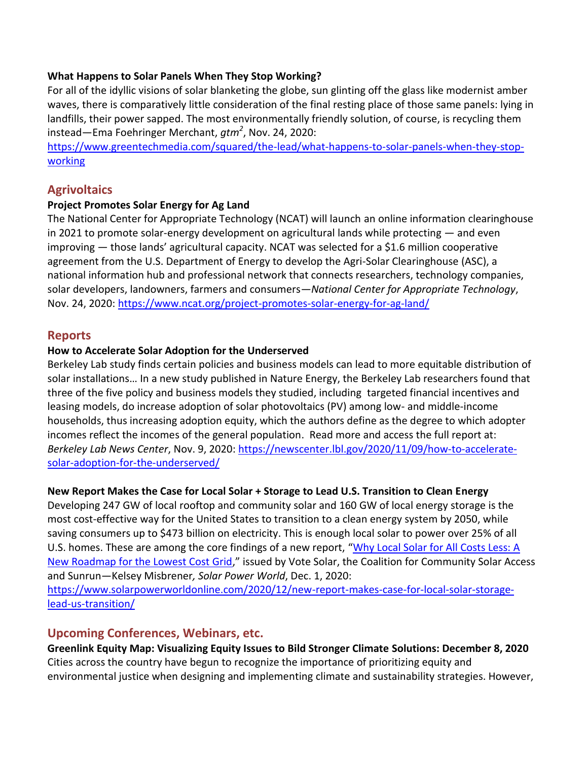#### **What Happens to Solar Panels When They Stop Working?**

For all of the idyllic visions of solar blanketing the globe, sun glinting off the glass like modernist amber waves, there is comparatively little consideration of the final resting place of those same panels: lying in landfills, their power sapped. The most environmentally friendly solution, of course, is recycling them instead—Ema Foehringer Merchant, *gtm<sup>2</sup>* , Nov. 24, 2020:

[https://www.greentechmedia.com/squared/the-lead/what-happens-to-solar-panels-when-they-stop](https://www.greentechmedia.com/squared/the-lead/what-happens-to-solar-panels-when-they-stop-working)[working](https://www.greentechmedia.com/squared/the-lead/what-happens-to-solar-panels-when-they-stop-working)

## **Agrivoltaics**

## **Project Promotes Solar Energy for Ag Land**

The National Center for Appropriate Technology (NCAT) will launch an online information clearinghouse in 2021 to promote solar-energy development on agricultural lands while protecting — and even improving — those lands' agricultural capacity. NCAT was selected for a \$1.6 million cooperative agreement from the U.S. Department of Energy to develop the Agri-Solar Clearinghouse (ASC), a national information hub and professional network that connects researchers, technology companies, solar developers, landowners, farmers and consumers—*National Center for Appropriate Technology*, Nov. 24, 2020:<https://www.ncat.org/project-promotes-solar-energy-for-ag-land/>

## **Reports**

#### **How to Accelerate Solar Adoption for the Underserved**

Berkeley Lab study finds certain policies and business models can lead to more equitable distribution of solar installations… In a new study published in Nature Energy, the Berkeley Lab researchers found that three of the five policy and business models they studied, including targeted financial incentives and leasing models, do increase adoption of solar photovoltaics (PV) among low- and middle-income households, thus increasing adoption equity, which the authors define as the degree to which adopter incomes reflect the incomes of the general population. Read more and access the full report at: *Berkeley Lab News Center*, Nov. 9, 2020: [https://newscenter.lbl.gov/2020/11/09/how-to-accelerate](https://newscenter.lbl.gov/2020/11/09/how-to-accelerate-solar-adoption-for-the-underserved/)[solar-adoption-for-the-underserved/](https://newscenter.lbl.gov/2020/11/09/how-to-accelerate-solar-adoption-for-the-underserved/)

## **New Report Makes the Case for Local Solar + Storage to Lead U.S. Transition to Clean Energy**

Developing 247 GW of local rooftop and community solar and 160 GW of local energy storage is the most cost-effective way for the United States to transition to a clean energy system by 2050, while saving consumers up to \$473 billion on electricity. This is enough local solar to power over 25% of all U.S. homes. These are among the core findings of a new report, "Why Local Solar for All Costs Less: A [New Roadmap for the Lowest Cost Grid](https://drive.google.com/file/d/1qn2FG7tSo00FRnFZh4VK1fPLIf1ZVrhU/view)," issued by Vote Solar, the Coalition for Community Solar Access and Sunrun—Kelsey Misbrener*, Solar Power World*, Dec. 1, 2020:

[https://www.solarpowerworldonline.com/2020/12/new-report-makes-case-for-local-solar-storage](https://www.solarpowerworldonline.com/2020/12/new-report-makes-case-for-local-solar-storage-lead-us-transition/)[lead-us-transition/](https://www.solarpowerworldonline.com/2020/12/new-report-makes-case-for-local-solar-storage-lead-us-transition/)

## **Upcoming Conferences, Webinars, etc.**

**Greenlink Equity Map: Visualizing Equity Issues to Bild Stronger Climate Solutions: December 8, 2020** Cities across the country have begun to recognize the importance of prioritizing equity and environmental justice when designing and implementing climate and sustainability strategies. However,